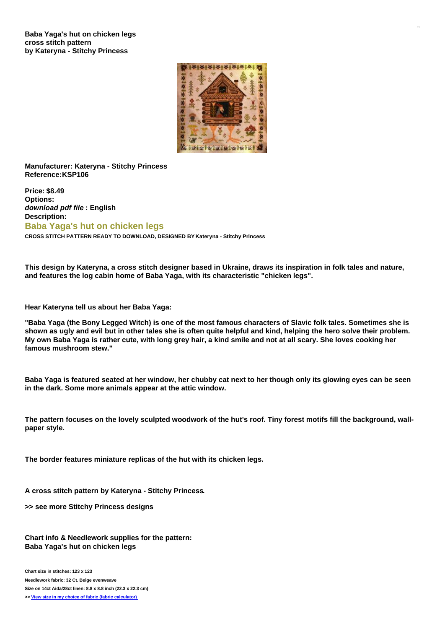

**Manufacturer: Kateryna - Stitchy Princess Reference:KSP106**

**Price: \$8.49 Options:** *download pdf file* **: English Description: Baba Yaga's hut on chicken legs CROSS STITCH PATTERN READY TO DOWNLOAD, DESIGNED BY Kateryna - Stitchy Princess**

This design by Kateryna, a cross stitch designer based in Ukraine, draws its inspiration in folk tales and nature, **and features the log cabin home of Baba Yaga, with its characteristic "chicken legs".**

**Hear Kateryna tell us about her Baba Yaga:**

"Baba Yaga (the Bony Legged Witch) is one of the most famous characters of Slavic folk tales. Sometimes she is shown as ugly and evil but in other tales she is often quite helpful and kind, helping the hero solve their problem. My own Baba Yaga is rather cute, with long grey hair, a kind smile and not at all scary. She loves cooking her **famous mushroom stew."**

Baba Yaga is featured seated at her window, her chubby cat next to her though only its glowing eyes can be seen **in the dark. Some more animals appear at the attic window.**

The pattern focuses on the lovely sculpted woodwork of the hut's roof. Tiny forest motifs fill the background, wall**paper style.**

**The border features miniature replicas of the hut with its chicken legs.**

**A cross stitch pattern by Kateryna - Stitchy Princess.**

**>> see more Stitchy Princess designs**

**Chart info & Needlework supplies for the pattern: Baba Yaga's hut on chicken legs**

**Chart size in stitches: 123 x 123 Needlework fabric: 32 Ct. Beige evenweave Size on 14ct Aida/28ct linen: 8.8 x 8.8 inch (22.3 x 22.3 cm) >> View size in my choice of fabric (fabric [calculator\)](https://www.creativepoppypatterns.com/calculette-de-toile.php?products_id=&w=&h=)**